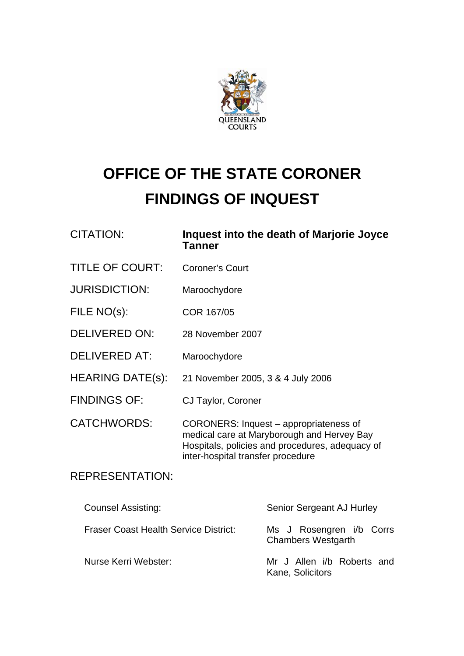

# **OFFICE OF THE STATE CORONER FINDINGS OF INQUEST**

| <b>CITATION:</b> | Inquest into the death of Marjorie Joyce<br><b>Tanner</b> |
|------------------|-----------------------------------------------------------|
|                  |                                                           |

- TITLE OF COURT: Coroner's Court
- JURISDICTION: Maroochydore
- FILE NO(s): COR 167/05
- DELIVERED ON: 28 November 2007
- DELIVERED AT: Maroochydore
- HEARING DATE(s): 21 November 2005, 3 & 4 July 2006
- FINDINGS OF: CJ Taylor, Coroner
- CATCHWORDS: CORONERS: Inquest appropriateness of medical care at Maryborough and Hervey Bay Hospitals, policies and procedures, adequacy of inter-hospital transfer procedure

## REPRESENTATION:

| <b>Counsel Assisting:</b>                    | Senior Sergeant AJ Hurley                             |
|----------------------------------------------|-------------------------------------------------------|
| <b>Fraser Coast Health Service District:</b> | Ms J Rosengren i/b Corrs<br><b>Chambers Westgarth</b> |
| Nurse Kerri Webster:                         | Mr J Allen i/b Roberts and<br>Kane, Solicitors        |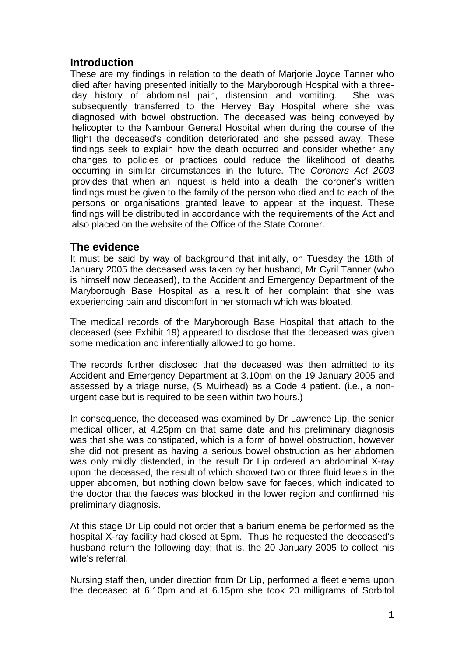## **Introduction**

These are my findings in relation to the death of Marjorie Joyce Tanner who died after having presented initially to the Maryborough Hospital with a threeday history of abdominal pain, distension and vomiting. She was subsequently transferred to the Hervey Bay Hospital where she was diagnosed with bowel obstruction. The deceased was being conveyed by helicopter to the Nambour General Hospital when during the course of the flight the deceased's condition deteriorated and she passed away. These findings seek to explain how the death occurred and consider whether any changes to policies or practices could reduce the likelihood of deaths occurring in similar circumstances in the future. The *Coroners Act 2003* provides that when an inquest is held into a death, the coroner's written findings must be given to the family of the person who died and to each of the persons or organisations granted leave to appear at the inquest. These findings will be distributed in accordance with the requirements of the Act and also placed on the website of the Office of the State Coroner.

### **The evidence**

It must be said by way of background that initially, on Tuesday the 18th of January 2005 the deceased was taken by her husband, Mr Cyril Tanner (who is himself now deceased), to the Accident and Emergency Department of the Maryborough Base Hospital as a result of her complaint that she was experiencing pain and discomfort in her stomach which was bloated.

The medical records of the Maryborough Base Hospital that attach to the deceased (see Exhibit 19) appeared to disclose that the deceased was given some medication and inferentially allowed to go home.

The records further disclosed that the deceased was then admitted to its Accident and Emergency Department at 3.10pm on the 19 January 2005 and assessed by a triage nurse, (S Muirhead) as a Code 4 patient. (i.e., a nonurgent case but is required to be seen within two hours.)

In consequence, the deceased was examined by Dr Lawrence Lip, the senior medical officer, at 4.25pm on that same date and his preliminary diagnosis was that she was constipated, which is a form of bowel obstruction, however she did not present as having a serious bowel obstruction as her abdomen was only mildly distended, in the result Dr Lip ordered an abdominal X-ray upon the deceased, the result of which showed two or three fluid levels in the upper abdomen, but nothing down below save for faeces, which indicated to the doctor that the faeces was blocked in the lower region and confirmed his preliminary diagnosis.

At this stage Dr Lip could not order that a barium enema be performed as the hospital X-ray facility had closed at 5pm. Thus he requested the deceased's husband return the following day; that is, the 20 January 2005 to collect his wife's referral.

Nursing staff then, under direction from Dr Lip, performed a fleet enema upon the deceased at 6.10pm and at 6.15pm she took 20 milligrams of Sorbitol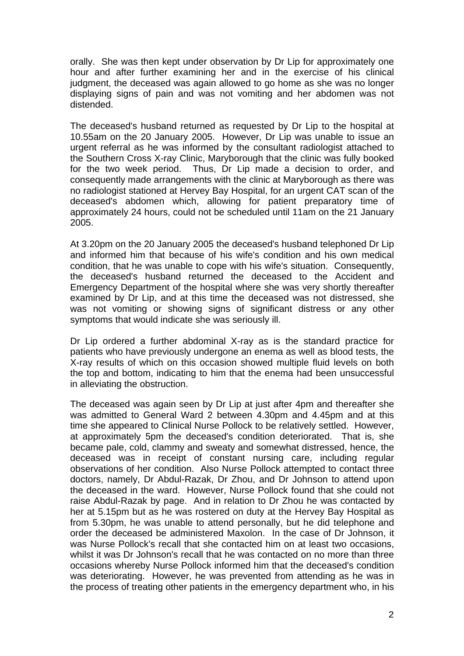orally. She was then kept under observation by Dr Lip for approximately one hour and after further examining her and in the exercise of his clinical judgment, the deceased was again allowed to go home as she was no longer displaying signs of pain and was not vomiting and her abdomen was not distended.

The deceased's husband returned as requested by Dr Lip to the hospital at 10.55am on the 20 January 2005. However, Dr Lip was unable to issue an urgent referral as he was informed by the consultant radiologist attached to the Southern Cross X-ray Clinic, Maryborough that the clinic was fully booked for the two week period. Thus, Dr Lip made a decision to order, and consequently made arrangements with the clinic at Maryborough as there was no radiologist stationed at Hervey Bay Hospital, for an urgent CAT scan of the deceased's abdomen which, allowing for patient preparatory time of approximately 24 hours, could not be scheduled until 11am on the 21 January 2005.

At 3.20pm on the 20 January 2005 the deceased's husband telephoned Dr Lip and informed him that because of his wife's condition and his own medical condition, that he was unable to cope with his wife's situation. Consequently, the deceased's husband returned the deceased to the Accident and Emergency Department of the hospital where she was very shortly thereafter examined by Dr Lip, and at this time the deceased was not distressed, she was not vomiting or showing signs of significant distress or any other symptoms that would indicate she was seriously ill.

Dr Lip ordered a further abdominal X-ray as is the standard practice for patients who have previously undergone an enema as well as blood tests, the X-ray results of which on this occasion showed multiple fluid levels on both the top and bottom, indicating to him that the enema had been unsuccessful in alleviating the obstruction.

The deceased was again seen by Dr Lip at just after 4pm and thereafter she was admitted to General Ward 2 between 4.30pm and 4.45pm and at this time she appeared to Clinical Nurse Pollock to be relatively settled. However, at approximately 5pm the deceased's condition deteriorated. That is, she became pale, cold, clammy and sweaty and somewhat distressed, hence, the deceased was in receipt of constant nursing care, including regular observations of her condition. Also Nurse Pollock attempted to contact three doctors, namely, Dr Abdul-Razak, Dr Zhou, and Dr Johnson to attend upon the deceased in the ward. However, Nurse Pollock found that she could not raise Abdul-Razak by page. And in relation to Dr Zhou he was contacted by her at 5.15pm but as he was rostered on duty at the Hervey Bay Hospital as from 5.30pm, he was unable to attend personally, but he did telephone and order the deceased be administered Maxolon. In the case of Dr Johnson, it was Nurse Pollock's recall that she contacted him on at least two occasions, whilst it was Dr Johnson's recall that he was contacted on no more than three occasions whereby Nurse Pollock informed him that the deceased's condition was deteriorating. However, he was prevented from attending as he was in the process of treating other patients in the emergency department who, in his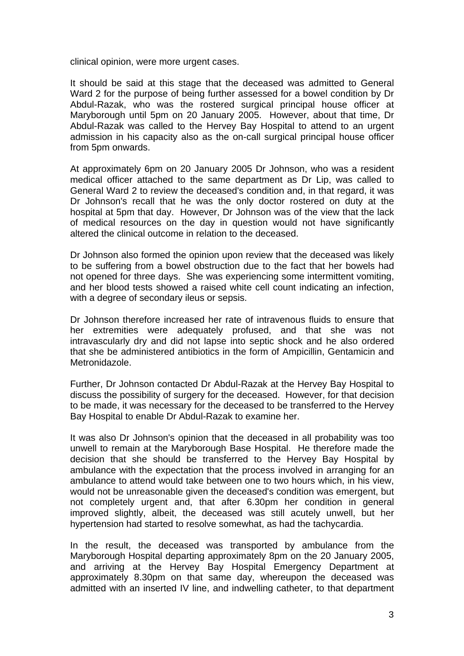clinical opinion, were more urgent cases.

It should be said at this stage that the deceased was admitted to General Ward 2 for the purpose of being further assessed for a bowel condition by Dr Abdul-Razak, who was the rostered surgical principal house officer at Maryborough until 5pm on 20 January 2005. However, about that time, Dr Abdul-Razak was called to the Hervey Bay Hospital to attend to an urgent admission in his capacity also as the on-call surgical principal house officer from 5pm onwards.

At approximately 6pm on 20 January 2005 Dr Johnson, who was a resident medical officer attached to the same department as Dr Lip, was called to General Ward 2 to review the deceased's condition and, in that regard, it was Dr Johnson's recall that he was the only doctor rostered on duty at the hospital at 5pm that day. However, Dr Johnson was of the view that the lack of medical resources on the day in question would not have significantly altered the clinical outcome in relation to the deceased.

Dr Johnson also formed the opinion upon review that the deceased was likely to be suffering from a bowel obstruction due to the fact that her bowels had not opened for three days. She was experiencing some intermittent vomiting, and her blood tests showed a raised white cell count indicating an infection, with a degree of secondary ileus or sepsis.

Dr Johnson therefore increased her rate of intravenous fluids to ensure that her extremities were adequately profused, and that she was not intravascularly dry and did not lapse into septic shock and he also ordered that she be administered antibiotics in the form of Ampicillin, Gentamicin and Metronidazole.

Further, Dr Johnson contacted Dr Abdul-Razak at the Hervey Bay Hospital to discuss the possibility of surgery for the deceased. However, for that decision to be made, it was necessary for the deceased to be transferred to the Hervey Bay Hospital to enable Dr Abdul-Razak to examine her.

It was also Dr Johnson's opinion that the deceased in all probability was too unwell to remain at the Maryborough Base Hospital. He therefore made the decision that she should be transferred to the Hervey Bay Hospital by ambulance with the expectation that the process involved in arranging for an ambulance to attend would take between one to two hours which, in his view, would not be unreasonable given the deceased's condition was emergent, but not completely urgent and, that after 6.30pm her condition in general improved slightly, albeit, the deceased was still acutely unwell, but her hypertension had started to resolve somewhat, as had the tachycardia.

In the result, the deceased was transported by ambulance from the Maryborough Hospital departing approximately 8pm on the 20 January 2005, and arriving at the Hervey Bay Hospital Emergency Department at approximately 8.30pm on that same day, whereupon the deceased was admitted with an inserted IV line, and indwelling catheter, to that department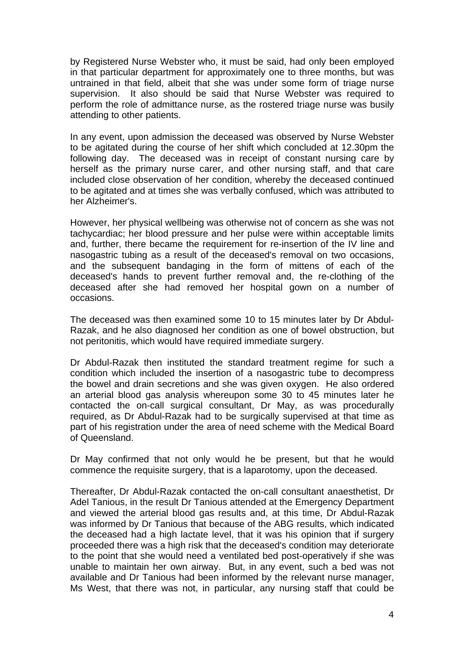by Registered Nurse Webster who, it must be said, had only been employed in that particular department for approximately one to three months, but was untrained in that field, albeit that she was under some form of triage nurse supervision. It also should be said that Nurse Webster was required to perform the role of admittance nurse, as the rostered triage nurse was busily attending to other patients.

In any event, upon admission the deceased was observed by Nurse Webster to be agitated during the course of her shift which concluded at 12.30pm the following day. The deceased was in receipt of constant nursing care by herself as the primary nurse carer, and other nursing staff, and that care included close observation of her condition, whereby the deceased continued to be agitated and at times she was verbally confused, which was attributed to her Alzheimer's.

However, her physical wellbeing was otherwise not of concern as she was not tachycardiac; her blood pressure and her pulse were within acceptable limits and, further, there became the requirement for re-insertion of the IV line and nasogastric tubing as a result of the deceased's removal on two occasions, and the subsequent bandaging in the form of mittens of each of the deceased's hands to prevent further removal and, the re-clothing of the deceased after she had removed her hospital gown on a number of occasions.

The deceased was then examined some 10 to 15 minutes later by Dr Abdul-Razak, and he also diagnosed her condition as one of bowel obstruction, but not peritonitis, which would have required immediate surgery.

Dr Abdul-Razak then instituted the standard treatment regime for such a condition which included the insertion of a nasogastric tube to decompress the bowel and drain secretions and she was given oxygen. He also ordered an arterial blood gas analysis whereupon some 30 to 45 minutes later he contacted the on-call surgical consultant, Dr May, as was procedurally required, as Dr Abdul-Razak had to be surgically supervised at that time as part of his registration under the area of need scheme with the Medical Board of Queensland.

Dr May confirmed that not only would he be present, but that he would commence the requisite surgery, that is a laparotomy, upon the deceased.

Thereafter, Dr Abdul-Razak contacted the on-call consultant anaesthetist, Dr Adel Tanious, in the result Dr Tanious attended at the Emergency Department and viewed the arterial blood gas results and, at this time, Dr Abdul-Razak was informed by Dr Tanious that because of the ABG results, which indicated the deceased had a high lactate level, that it was his opinion that if surgery proceeded there was a high risk that the deceased's condition may deteriorate to the point that she would need a ventilated bed post-operatively if she was unable to maintain her own airway. But, in any event, such a bed was not available and Dr Tanious had been informed by the relevant nurse manager, Ms West, that there was not, in particular, any nursing staff that could be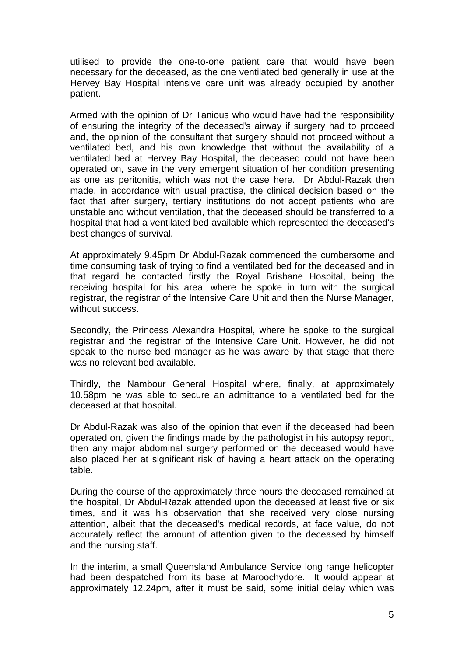utilised to provide the one-to-one patient care that would have been necessary for the deceased, as the one ventilated bed generally in use at the Hervey Bay Hospital intensive care unit was already occupied by another patient.

Armed with the opinion of Dr Tanious who would have had the responsibility of ensuring the integrity of the deceased's airway if surgery had to proceed and, the opinion of the consultant that surgery should not proceed without a ventilated bed, and his own knowledge that without the availability of a ventilated bed at Hervey Bay Hospital, the deceased could not have been operated on, save in the very emergent situation of her condition presenting as one as peritonitis, which was not the case here. Dr Abdul-Razak then made, in accordance with usual practise, the clinical decision based on the fact that after surgery, tertiary institutions do not accept patients who are unstable and without ventilation, that the deceased should be transferred to a hospital that had a ventilated bed available which represented the deceased's best changes of survival.

At approximately 9.45pm Dr Abdul-Razak commenced the cumbersome and time consuming task of trying to find a ventilated bed for the deceased and in that regard he contacted firstly the Royal Brisbane Hospital, being the receiving hospital for his area, where he spoke in turn with the surgical registrar, the registrar of the Intensive Care Unit and then the Nurse Manager, without success.

Secondly, the Princess Alexandra Hospital, where he spoke to the surgical registrar and the registrar of the Intensive Care Unit. However, he did not speak to the nurse bed manager as he was aware by that stage that there was no relevant bed available.

Thirdly, the Nambour General Hospital where, finally, at approximately 10.58pm he was able to secure an admittance to a ventilated bed for the deceased at that hospital.

Dr Abdul-Razak was also of the opinion that even if the deceased had been operated on, given the findings made by the pathologist in his autopsy report, then any major abdominal surgery performed on the deceased would have also placed her at significant risk of having a heart attack on the operating table.

During the course of the approximately three hours the deceased remained at the hospital, Dr Abdul-Razak attended upon the deceased at least five or six times, and it was his observation that she received very close nursing attention, albeit that the deceased's medical records, at face value, do not accurately reflect the amount of attention given to the deceased by himself and the nursing staff.

In the interim, a small Queensland Ambulance Service long range helicopter had been despatched from its base at Maroochydore. It would appear at approximately 12.24pm, after it must be said, some initial delay which was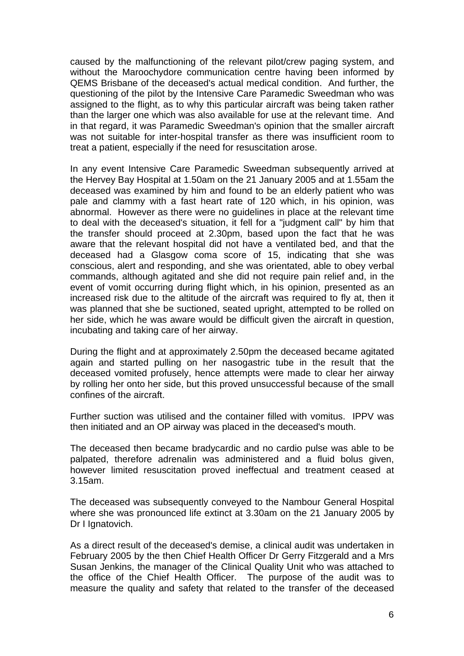caused by the malfunctioning of the relevant pilot/crew paging system, and without the Maroochydore communication centre having been informed by QEMS Brisbane of the deceased's actual medical condition. And further, the questioning of the pilot by the Intensive Care Paramedic Sweedman who was assigned to the flight, as to why this particular aircraft was being taken rather than the larger one which was also available for use at the relevant time. And in that regard, it was Paramedic Sweedman's opinion that the smaller aircraft was not suitable for inter-hospital transfer as there was insufficient room to treat a patient, especially if the need for resuscitation arose.

In any event Intensive Care Paramedic Sweedman subsequently arrived at the Hervey Bay Hospital at 1.50am on the 21 January 2005 and at 1.55am the deceased was examined by him and found to be an elderly patient who was pale and clammy with a fast heart rate of 120 which, in his opinion, was abnormal. However as there were no guidelines in place at the relevant time to deal with the deceased's situation, it fell for a "judgment call" by him that the transfer should proceed at 2.30pm, based upon the fact that he was aware that the relevant hospital did not have a ventilated bed, and that the deceased had a Glasgow coma score of 15, indicating that she was conscious, alert and responding, and she was orientated, able to obey verbal commands, although agitated and she did not require pain relief and, in the event of vomit occurring during flight which, in his opinion, presented as an increased risk due to the altitude of the aircraft was required to fly at, then it was planned that she be suctioned, seated upright, attempted to be rolled on her side, which he was aware would be difficult given the aircraft in question, incubating and taking care of her airway.

During the flight and at approximately 2.50pm the deceased became agitated again and started pulling on her nasogastric tube in the result that the deceased vomited profusely, hence attempts were made to clear her airway by rolling her onto her side, but this proved unsuccessful because of the small confines of the aircraft.

Further suction was utilised and the container filled with vomitus. IPPV was then initiated and an OP airway was placed in the deceased's mouth.

The deceased then became bradycardic and no cardio pulse was able to be palpated, therefore adrenalin was administered and a fluid bolus given, however limited resuscitation proved ineffectual and treatment ceased at 3.15am.

The deceased was subsequently conveyed to the Nambour General Hospital where she was pronounced life extinct at 3.30am on the 21 January 2005 by Dr I Ignatovich.

As a direct result of the deceased's demise, a clinical audit was undertaken in February 2005 by the then Chief Health Officer Dr Gerry Fitzgerald and a Mrs Susan Jenkins, the manager of the Clinical Quality Unit who was attached to the office of the Chief Health Officer. The purpose of the audit was to measure the quality and safety that related to the transfer of the deceased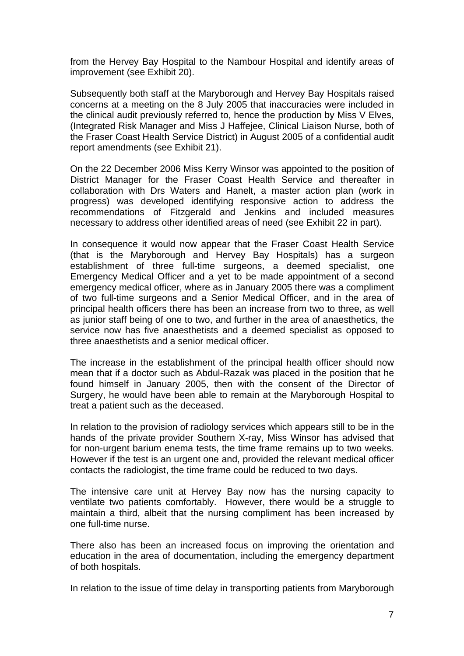from the Hervey Bay Hospital to the Nambour Hospital and identify areas of improvement (see Exhibit 20).

Subsequently both staff at the Maryborough and Hervey Bay Hospitals raised concerns at a meeting on the 8 July 2005 that inaccuracies were included in the clinical audit previously referred to, hence the production by Miss V Elves, (Integrated Risk Manager and Miss J Haffejee, Clinical Liaison Nurse, both of the Fraser Coast Health Service District) in August 2005 of a confidential audit report amendments (see Exhibit 21).

On the 22 December 2006 Miss Kerry Winsor was appointed to the position of District Manager for the Fraser Coast Health Service and thereafter in collaboration with Drs Waters and Hanelt, a master action plan (work in progress) was developed identifying responsive action to address the recommendations of Fitzgerald and Jenkins and included measures necessary to address other identified areas of need (see Exhibit 22 in part).

In consequence it would now appear that the Fraser Coast Health Service (that is the Maryborough and Hervey Bay Hospitals) has a surgeon establishment of three full-time surgeons, a deemed specialist, one Emergency Medical Officer and a yet to be made appointment of a second emergency medical officer, where as in January 2005 there was a compliment of two full-time surgeons and a Senior Medical Officer, and in the area of principal health officers there has been an increase from two to three, as well as junior staff being of one to two, and further in the area of anaesthetics, the service now has five anaesthetists and a deemed specialist as opposed to three anaesthetists and a senior medical officer.

The increase in the establishment of the principal health officer should now mean that if a doctor such as Abdul-Razak was placed in the position that he found himself in January 2005, then with the consent of the Director of Surgery, he would have been able to remain at the Maryborough Hospital to treat a patient such as the deceased.

In relation to the provision of radiology services which appears still to be in the hands of the private provider Southern X-ray, Miss Winsor has advised that for non-urgent barium enema tests, the time frame remains up to two weeks. However if the test is an urgent one and, provided the relevant medical officer contacts the radiologist, the time frame could be reduced to two days.

The intensive care unit at Hervey Bay now has the nursing capacity to ventilate two patients comfortably. However, there would be a struggle to maintain a third, albeit that the nursing compliment has been increased by one full-time nurse.

There also has been an increased focus on improving the orientation and education in the area of documentation, including the emergency department of both hospitals.

In relation to the issue of time delay in transporting patients from Maryborough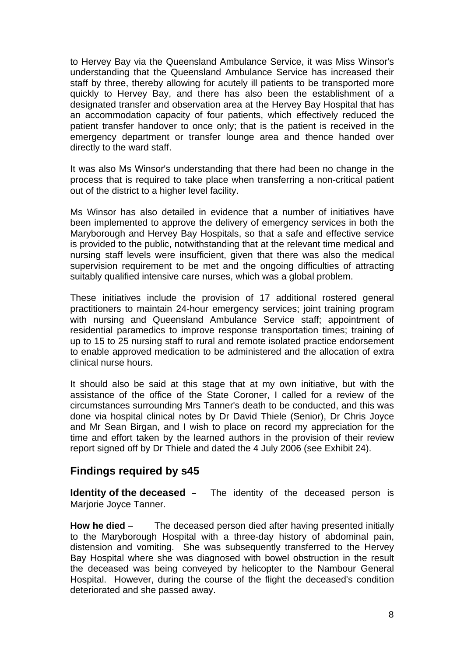to Hervey Bay via the Queensland Ambulance Service, it was Miss Winsor's understanding that the Queensland Ambulance Service has increased their staff by three, thereby allowing for acutely ill patients to be transported more quickly to Hervey Bay, and there has also been the establishment of a designated transfer and observation area at the Hervey Bay Hospital that has an accommodation capacity of four patients, which effectively reduced the patient transfer handover to once only; that is the patient is received in the emergency department or transfer lounge area and thence handed over directly to the ward staff.

It was also Ms Winsor's understanding that there had been no change in the process that is required to take place when transferring a non-critical patient out of the district to a higher level facility.

Ms Winsor has also detailed in evidence that a number of initiatives have been implemented to approve the delivery of emergency services in both the Maryborough and Hervey Bay Hospitals, so that a safe and effective service is provided to the public, notwithstanding that at the relevant time medical and nursing staff levels were insufficient, given that there was also the medical supervision requirement to be met and the ongoing difficulties of attracting suitably qualified intensive care nurses, which was a global problem.

These initiatives include the provision of 17 additional rostered general practitioners to maintain 24-hour emergency services; joint training program with nursing and Queensland Ambulance Service staff; appointment of residential paramedics to improve response transportation times; training of up to 15 to 25 nursing staff to rural and remote isolated practice endorsement to enable approved medication to be administered and the allocation of extra clinical nurse hours.

It should also be said at this stage that at my own initiative, but with the assistance of the office of the State Coroner, I called for a review of the circumstances surrounding Mrs Tanner's death to be conducted, and this was done via hospital clinical notes by Dr David Thiele (Senior), Dr Chris Joyce and Mr Sean Birgan, and I wish to place on record my appreciation for the time and effort taken by the learned authors in the provision of their review report signed off by Dr Thiele and dated the 4 July 2006 (see Exhibit 24).

## **Findings required by s45**

**Identity of the deceased** – The identity of the deceased person is Marjorie Joyce Tanner.

**How he died** – The deceased person died after having presented initially to the Maryborough Hospital with a three-day history of abdominal pain, distension and vomiting. She was subsequently transferred to the Hervey Bay Hospital where she was diagnosed with bowel obstruction in the result the deceased was being conveyed by helicopter to the Nambour General Hospital. However, during the course of the flight the deceased's condition deteriorated and she passed away.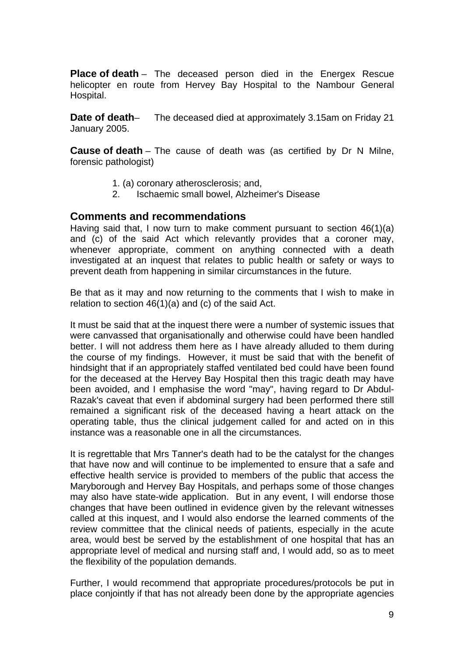**Place of death** – The deceased person died in the Energex Rescue helicopter en route from Hervey Bay Hospital to the Nambour General Hospital.

**Date of death**– The deceased died at approximately 3.15am on Friday 21 January 2005.

**Cause of death** – The cause of death was (as certified by Dr N Milne, forensic pathologist)

- 1. (a) coronary atherosclerosis; and,
- 2. Ischaemic small bowel, Alzheimer's Disease

#### **Comments and recommendations**

Having said that, I now turn to make comment pursuant to section 46(1)(a) and (c) of the said Act which relevantly provides that a coroner may, whenever appropriate, comment on anything connected with a death investigated at an inquest that relates to public health or safety or ways to prevent death from happening in similar circumstances in the future.

Be that as it may and now returning to the comments that I wish to make in relation to section 46(1)(a) and (c) of the said Act.

It must be said that at the inquest there were a number of systemic issues that were canvassed that organisationally and otherwise could have been handled better. I will not address them here as I have already alluded to them during the course of my findings. However, it must be said that with the benefit of hindsight that if an appropriately staffed ventilated bed could have been found for the deceased at the Hervey Bay Hospital then this tragic death may have been avoided, and I emphasise the word "may", having regard to Dr Abdul-Razak's caveat that even if abdominal surgery had been performed there still remained a significant risk of the deceased having a heart attack on the operating table, thus the clinical judgement called for and acted on in this instance was a reasonable one in all the circumstances.

It is regrettable that Mrs Tanner's death had to be the catalyst for the changes that have now and will continue to be implemented to ensure that a safe and effective health service is provided to members of the public that access the Maryborough and Hervey Bay Hospitals, and perhaps some of those changes may also have state-wide application. But in any event, I will endorse those changes that have been outlined in evidence given by the relevant witnesses called at this inquest, and I would also endorse the learned comments of the review committee that the clinical needs of patients, especially in the acute area, would best be served by the establishment of one hospital that has an appropriate level of medical and nursing staff and, I would add, so as to meet the flexibility of the population demands.

Further, I would recommend that appropriate procedures/protocols be put in place conjointly if that has not already been done by the appropriate agencies